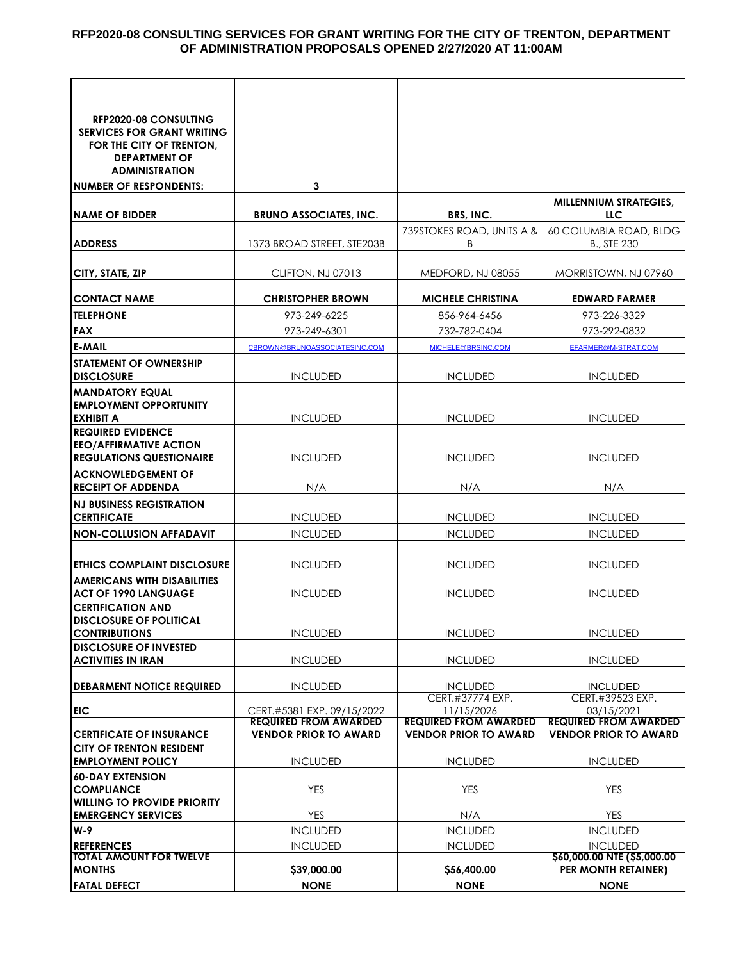#### **RFP2020-08 CONSULTING SERVICES FOR GRANT WRITING FOR THE CITY OF TRENTON, DEPARTMENT OF ADMINISTRATION PROPOSALS OPENED 2/27/2020 AT 11:00AM**

| <b>RFP2020-08 CONSULTING</b>                               |                                                            |                                            |                                                |
|------------------------------------------------------------|------------------------------------------------------------|--------------------------------------------|------------------------------------------------|
| <b>SERVICES FOR GRANT WRITING</b>                          |                                                            |                                            |                                                |
| FOR THE CITY OF TRENTON,                                   |                                                            |                                            |                                                |
| <b>DEPARTMENT OF</b>                                       |                                                            |                                            |                                                |
| <b>ADMINISTRATION</b>                                      |                                                            |                                            |                                                |
| <b>NUMBER OF RESPONDENTS:</b>                              | 3                                                          |                                            |                                                |
|                                                            |                                                            |                                            | <b>MILLENNIUM STRATEGIES,</b>                  |
| <b>NAME OF BIDDER</b>                                      | <b>BRUNO ASSOCIATES, INC.</b>                              | BRS, INC.                                  | LLC                                            |
|                                                            |                                                            | 739STOKES ROAD, UNITS A &                  | 60 COLUMBIA ROAD, BLDG                         |
| <b>ADDRESS</b>                                             | 1373 BROAD STREET, STE203B                                 | B                                          | <b>B., STE 230</b>                             |
|                                                            |                                                            |                                            |                                                |
| CITY, STATE, ZIP                                           | CLIFTON, NJ 07013                                          | MEDFORD, NJ 08055                          | MORRISTOWN, NJ 07960                           |
|                                                            |                                                            |                                            |                                                |
| <b>CONTACT NAME</b>                                        | <b>CHRISTOPHER BROWN</b>                                   | <b>MICHELE CHRISTINA</b>                   | <b>EDWARD FARMER</b>                           |
| <b>TELEPHONE</b>                                           | 973-249-6225                                               | 856-964-6456                               | 973-226-3329                                   |
| <b>FAX</b>                                                 | 973-249-6301                                               | 732-782-0404                               | 973-292-0832                                   |
| E-MAIL                                                     | CBROWN@BRUNOASSOCIATESINC.COM                              | MICHELE@BRSINC.COM                         | EFARMER@M-STRAT.COM                            |
| <b>STATEMENT OF OWNERSHIP</b>                              |                                                            |                                            |                                                |
| <b>DISCLOSURE</b>                                          | <b>INCLUDED</b>                                            | <b>INCLUDED</b>                            | <b>INCLUDED</b>                                |
| <b>MANDATORY EQUAL</b>                                     |                                                            |                                            |                                                |
| <b>EMPLOYMENT OPPORTUNITY</b>                              |                                                            |                                            |                                                |
| <b>EXHIBIT A</b>                                           | <b>INCLUDED</b>                                            | <b>INCLUDED</b>                            | <b>INCLUDED</b>                                |
| <b>REQUIRED EVIDENCE</b><br><b>EEO/AFFIRMATIVE ACTION</b>  |                                                            |                                            |                                                |
| <b>REGULATIONS QUESTIONAIRE</b>                            | <b>INCLUDED</b>                                            | <b>INCLUDED</b>                            | <b>INCLUDED</b>                                |
| <b>ACKNOWLEDGEMENT OF</b>                                  |                                                            |                                            |                                                |
| <b>RECEIPT OF ADDENDA</b>                                  | N/A                                                        | N/A                                        | N/A                                            |
| <b>NJ BUSINESS REGISTRATION</b>                            |                                                            |                                            |                                                |
| <b>CERTIFICATE</b>                                         | <b>INCLUDED</b>                                            | <b>INCLUDED</b>                            | <b>INCLUDED</b>                                |
| <b>NON-COLLUSION AFFADAVIT</b>                             | <b>INCLUDED</b>                                            | <b>INCLUDED</b>                            | <b>INCLUDED</b>                                |
|                                                            |                                                            |                                            |                                                |
| <b>ETHICS COMPLAINT DISCLOSURE</b>                         | <b>INCLUDED</b>                                            | <b>INCLUDED</b>                            | <b>INCLUDED</b>                                |
| <b>AMERICANS WITH DISABILITIES</b>                         |                                                            |                                            |                                                |
| <b>ACT OF 1990 LANGUAGE</b>                                | <b>INCLUDED</b>                                            | <b>INCLUDED</b>                            | <b>INCLUDED</b>                                |
| <b>CERTIFICATION AND</b>                                   |                                                            |                                            |                                                |
| <b>DISCLOSURE OF POLITICAL</b>                             |                                                            |                                            |                                                |
| <b>CONTRIBUTIONS</b>                                       | <b>INCLUDED</b>                                            | <b>INCLUDED</b>                            | <b>INCLUDED</b>                                |
| <b>DISCLOSURE OF INVESTED</b><br><b>ACTIVITIES IN IRAN</b> | <b>INCLUDED</b>                                            | <b>INCLUDED</b>                            | <b>INCLUDED</b>                                |
|                                                            |                                                            |                                            |                                                |
| <b>DEBARMENT NOTICE REQUIRED</b>                           | <b>INCLUDED</b>                                            | <b>INCLUDED</b>                            | <b>INCLUDED</b>                                |
|                                                            |                                                            | CERT.#37774 EXP.                           | CERT.#39523 EXP.                               |
| <b>EIC</b>                                                 | CERT.#5381 EXP. 09/15/2022<br><b>REQUIRED FROM AWARDED</b> | 11/15/2026<br><b>REQUIRED FROM AWARDED</b> | 03/15/2021<br><b>REQUIRED FROM AWARDED</b>     |
| <b>CERTIFICATE OF INSURANCE</b>                            | <b>VENDOR PRIOR TO AWARD</b>                               | <b>VENDOR PRIOR TO AWARD</b>               | <b>VENDOR PRIOR TO AWARD</b>                   |
| <b>CITY OF TRENTON RESIDENT</b>                            |                                                            |                                            |                                                |
| <b>EMPLOYMENT POLICY</b>                                   | <b>INCLUDED</b>                                            | <b>INCLUDED</b>                            | <b>INCLUDED</b>                                |
| <b>60-DAY EXTENSION</b>                                    |                                                            |                                            |                                                |
| <b>COMPLIANCE</b>                                          | YES                                                        | <b>YES</b>                                 | <b>YES</b>                                     |
| <b>WILLING TO PROVIDE PRIORITY</b>                         |                                                            |                                            |                                                |
| <b>EMERGENCY SERVICES</b>                                  | <b>YES</b>                                                 | N/A                                        | <b>YES</b>                                     |
| W-9                                                        | <b>INCLUDED</b>                                            | <b>INCLUDED</b>                            | <b>INCLUDED</b>                                |
| <b>REFERENCES</b><br><b>TOTAL AMOUNT FOR TWELVE</b>        | <b>INCLUDED</b>                                            | <b>INCLUDED</b>                            | <b>INCLUDED</b><br>\$60,000.00 NTE (\$5,000.00 |
| <b>MONTHS</b>                                              | \$39,000.00                                                | \$56,400.00                                | PER MONTH RETAINER)                            |
| <b>FATAL DEFECT</b>                                        | <b>NONE</b>                                                | <b>NONE</b>                                | <b>NONE</b>                                    |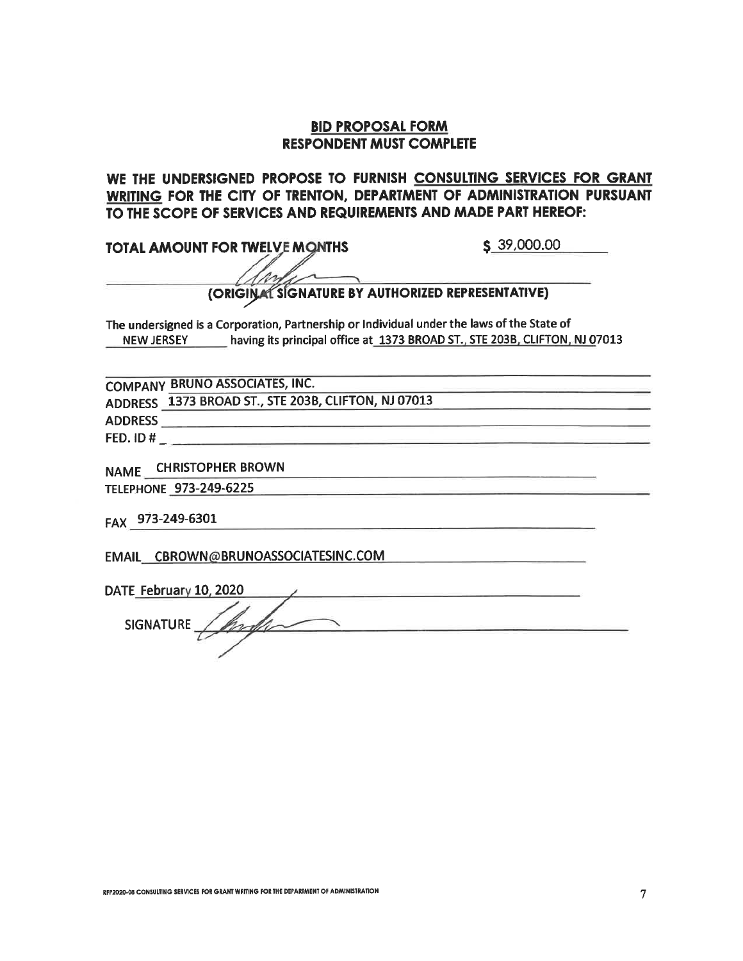### **BID PROPOSAL FORM RESPONDENT MUST COMPLETE**

WE THE UNDERSIGNED PROPOSE TO FURNISH CONSULTING SERVICES FOR GRANT WRITING FOR THE CITY OF TRENTON, DEPARTMENT OF ADMINISTRATION PURSUANT TO THE SCOPE OF SERVICES AND REQUIREMENTS AND MADE PART HEREOF:

**TOTAL AMOUNT FOR TWELVE MONTHS** 

 $$39,000.00$ 

# (ORIGINAL SIGNATURE BY AUTHORIZED REPRESENTATIVE)

The undersigned is a Corporation, Partnership or Individual under the laws of the State of NEW JERSEY having its principal office at 1373 BROAD ST., STE 203B, CLIFTON, NJ 07013

**COMPANY BRUNO ASSOCIATES, INC.** 

ADDRESS 1373 BROAD ST., STE 203B, CLIFTON, NJ 07013

FED. ID #  $\overline{\phantom{a}}$ 

NAME CHRISTOPHER BROWN

TELEPHONE 973-249-6225

FAX 973-249-6301

EMAIL CBROWN@BRUNOASSOCIATESINC.COM

DATE February 10, 2020

SIGNATURE  $\neq$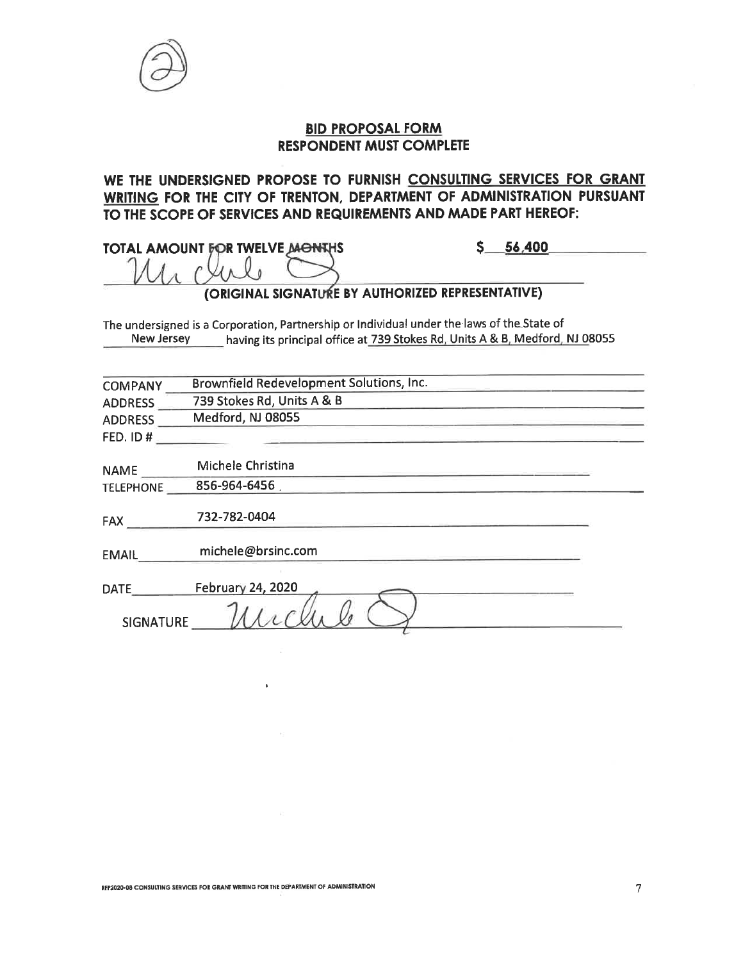

### **BID PROPOSAL FORM RESPONDENT MUST COMPLETE**

WE THE UNDERSIGNED PROPOSE TO FURNISH CONSULTING SERVICES FOR GRANT WRITING FOR THE CITY OF TRENTON, DEPARTMENT OF ADMINISTRATION PURSUANT TO THE SCOPE OF SERVICES AND REQUIREMENTS AND MADE PART HEREOF:

**TOTAL AMOUNT FOR TWELVE MONTHS**  $\Lambda_{\Lambda}$  $\mu_{\Lambda}$ 

 $-56,400$ \$\_

### (ORIGINAL SIGNATURE BY AUTHORIZED REPRESENTATIVE)

The undersigned is a Corporation, Partnership or Individual under the laws of the State of New Jersey having its principal office at 739 Stokes Rd, Units A & B, Medford, NJ 08055

| <b>COMPANY</b>   | Brownfield Redevelopment Solutions, Inc. |  |
|------------------|------------------------------------------|--|
| <b>ADDRESS</b>   | 739 Stokes Rd, Units A & B               |  |
| <b>ADDRESS</b>   | Medford, NJ 08055                        |  |
| <b>FED. ID#</b>  |                                          |  |
| <b>NAME</b>      | Michele Christina                        |  |
| <b>TELEPHONE</b> | 856-964-6456                             |  |
| <b>FAX</b>       | 732-782-0404                             |  |
| <b>EMAIL</b>     | michele@brsinc.com                       |  |
| <b>DATE</b>      | <b>February 24, 2020</b>                 |  |
| <b>SIGNATURE</b> |                                          |  |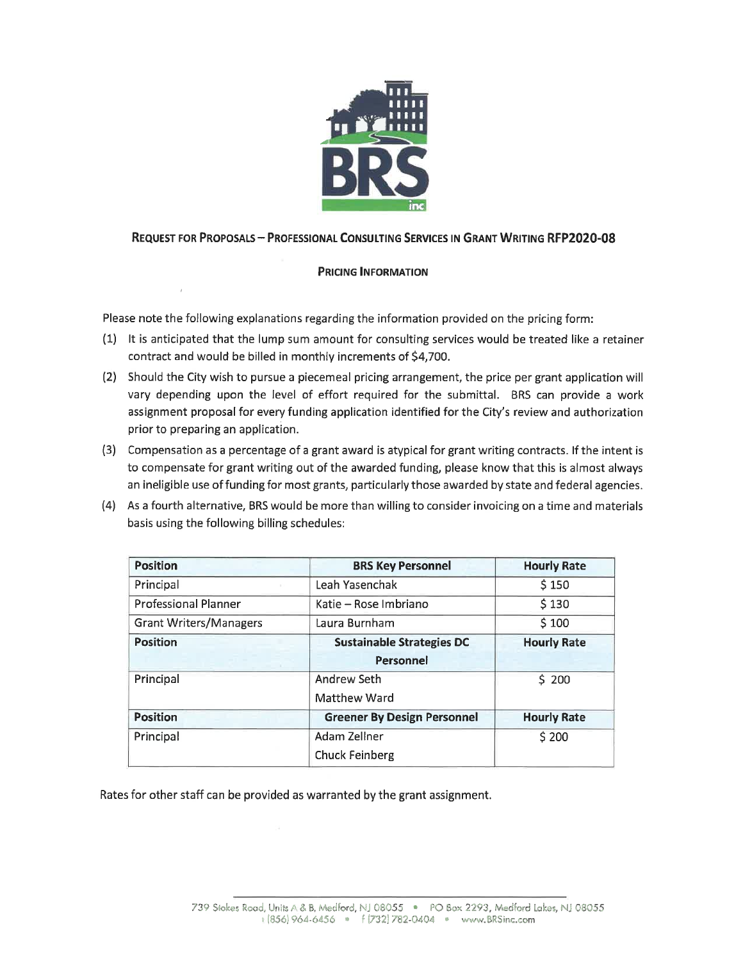

#### **REQUEST FOR PROPOSALS - PROFESSIONAL CONSULTING SERVICES IN GRANT WRITING RFP2020-08**

#### **PRICING INFORMATION**

Please note the following explanations regarding the information provided on the pricing form:

- (1) It is anticipated that the lump sum amount for consulting services would be treated like a retainer contract and would be billed in monthly increments of \$4,700.
- (2) Should the City wish to pursue a piecemeal pricing arrangement, the price per grant application will vary depending upon the level of effort required for the submittal. BRS can provide a work assignment proposal for every funding application identified for the City's review and authorization prior to preparing an application.
- (3) Compensation as a percentage of a grant award is atypical for grant writing contracts. If the intent is to compensate for grant writing out of the awarded funding, please know that this is almost always an ineligible use of funding for most grants, particularly those awarded by state and federal agencies.
- (4) As a fourth alternative, BRS would be more than willing to consider invoicing on a time and materials basis using the following billing schedules:

| <b>Position</b>               | <b>BRS Key Personnel</b>           | <b>Hourly Rate</b> |
|-------------------------------|------------------------------------|--------------------|
| Principal                     | Leah Yasenchak                     | \$150              |
| <b>Professional Planner</b>   | Katie – Rose Imbriano              | \$130              |
| <b>Grant Writers/Managers</b> | Laura Burnham                      | \$100              |
| <b>Position</b>               | <b>Sustainable Strategies DC</b>   | <b>Hourly Rate</b> |
|                               | Personnel                          |                    |
| Principal                     | Andrew Seth                        | \$200              |
|                               | Matthew Ward                       |                    |
| <b>Position</b>               | <b>Greener By Design Personnel</b> | <b>Hourly Rate</b> |
| Principal                     | Adam Zellner                       | \$200              |
|                               | <b>Chuck Feinberg</b>              |                    |

Rates for other staff can be provided as warranted by the grant assignment.